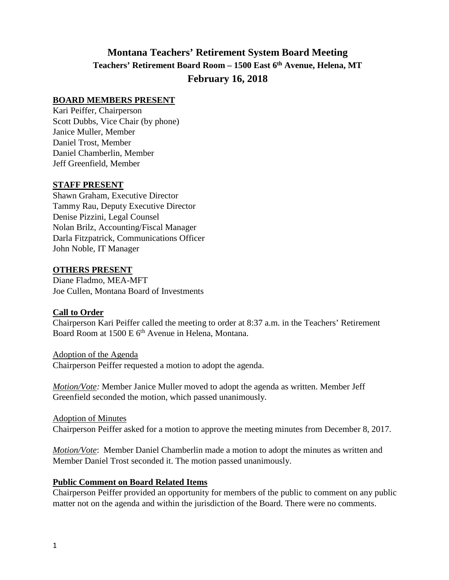# **Montana Teachers' Retirement System Board Meeting Teachers' Retirement Board Room – 1500 East 6th Avenue, Helena, MT February 16, 2018**

#### **BOARD MEMBERS PRESENT**

Kari Peiffer, Chairperson Scott Dubbs, Vice Chair (by phone) Janice Muller, Member Daniel Trost, Member Daniel Chamberlin, Member Jeff Greenfield, Member

#### **STAFF PRESENT**

Shawn Graham, Executive Director Tammy Rau, Deputy Executive Director Denise Pizzini, Legal Counsel Nolan Brilz, Accounting/Fiscal Manager Darla Fitzpatrick, Communications Officer John Noble, IT Manager

#### **OTHERS PRESENT**

Diane Fladmo, MEA-MFT Joe Cullen, Montana Board of Investments

## **Call to Order**

Chairperson Kari Peiffer called the meeting to order at 8:37 a.m. in the Teachers' Retirement Board Room at 1500 E 6<sup>th</sup> Avenue in Helena, Montana.

Adoption of the Agenda Chairperson Peiffer requested a motion to adopt the agenda.

*Motion/Vote:* Member Janice Muller moved to adopt the agenda as written. Member Jeff Greenfield seconded the motion, which passed unanimously.

Adoption of Minutes Chairperson Peiffer asked for a motion to approve the meeting minutes from December 8, 2017.

*Motion/Vote*: Member Daniel Chamberlin made a motion to adopt the minutes as written and Member Daniel Trost seconded it. The motion passed unanimously.

## **Public Comment on Board Related Items**

Chairperson Peiffer provided an opportunity for members of the public to comment on any public matter not on the agenda and within the jurisdiction of the Board. There were no comments.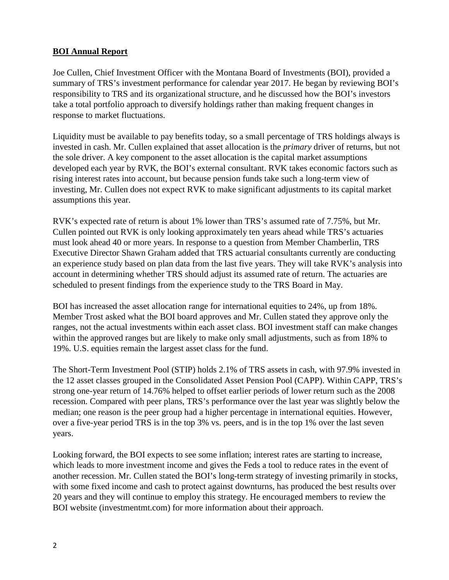# **BOI Annual Report**

Joe Cullen, Chief Investment Officer with the Montana Board of Investments (BOI), provided a summary of TRS's investment performance for calendar year 2017. He began by reviewing BOI's responsibility to TRS and its organizational structure, and he discussed how the BOI's investors take a total portfolio approach to diversify holdings rather than making frequent changes in response to market fluctuations.

Liquidity must be available to pay benefits today, so a small percentage of TRS holdings always is invested in cash. Mr. Cullen explained that asset allocation is the *primary* driver of returns, but not the sole driver. A key component to the asset allocation is the capital market assumptions developed each year by RVK, the BOI's external consultant. RVK takes economic factors such as rising interest rates into account, but because pension funds take such a long-term view of investing, Mr. Cullen does not expect RVK to make significant adjustments to its capital market assumptions this year.

RVK's expected rate of return is about 1% lower than TRS's assumed rate of 7.75%, but Mr. Cullen pointed out RVK is only looking approximately ten years ahead while TRS's actuaries must look ahead 40 or more years. In response to a question from Member Chamberlin, TRS Executive Director Shawn Graham added that TRS actuarial consultants currently are conducting an experience study based on plan data from the last five years. They will take RVK's analysis into account in determining whether TRS should adjust its assumed rate of return. The actuaries are scheduled to present findings from the experience study to the TRS Board in May.

BOI has increased the asset allocation range for international equities to 24%, up from 18%. Member Trost asked what the BOI board approves and Mr. Cullen stated they approve only the ranges, not the actual investments within each asset class. BOI investment staff can make changes within the approved ranges but are likely to make only small adjustments, such as from 18% to 19%. U.S. equities remain the largest asset class for the fund.

The Short-Term Investment Pool (STIP) holds 2.1% of TRS assets in cash, with 97.9% invested in the 12 asset classes grouped in the Consolidated Asset Pension Pool (CAPP). Within CAPP, TRS's strong one-year return of 14.76% helped to offset earlier periods of lower return such as the 2008 recession. Compared with peer plans, TRS's performance over the last year was slightly below the median; one reason is the peer group had a higher percentage in international equities. However, over a five-year period TRS is in the top 3% vs. peers, and is in the top 1% over the last seven years.

Looking forward, the BOI expects to see some inflation; interest rates are starting to increase, which leads to more investment income and gives the Feds a tool to reduce rates in the event of another recession. Mr. Cullen stated the BOI's long-term strategy of investing primarily in stocks, with some fixed income and cash to protect against downturns, has produced the best results over 20 years and they will continue to employ this strategy. He encouraged members to review the BOI website (investmentmt.com) for more information about their approach.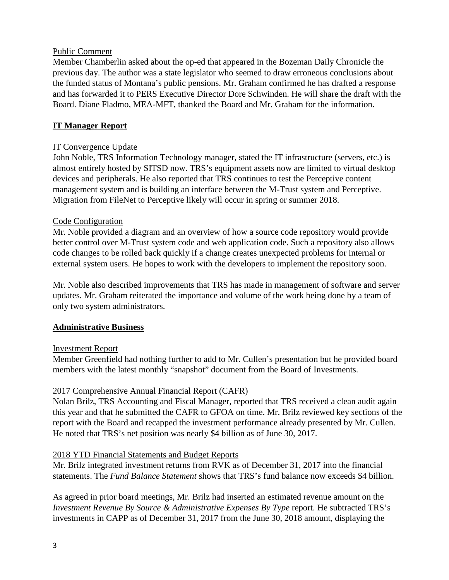#### Public Comment

Member Chamberlin asked about the op-ed that appeared in the Bozeman Daily Chronicle the previous day. The author was a state legislator who seemed to draw erroneous conclusions about the funded status of Montana's public pensions. Mr. Graham confirmed he has drafted a response and has forwarded it to PERS Executive Director Dore Schwinden. He will share the draft with the Board. Diane Fladmo, MEA-MFT, thanked the Board and Mr. Graham for the information.

## **IT Manager Report**

## IT Convergence Update

John Noble, TRS Information Technology manager, stated the IT infrastructure (servers, etc.) is almost entirely hosted by SITSD now. TRS's equipment assets now are limited to virtual desktop devices and peripherals. He also reported that TRS continues to test the Perceptive content management system and is building an interface between the M-Trust system and Perceptive. Migration from FileNet to Perceptive likely will occur in spring or summer 2018.

## Code Configuration

Mr. Noble provided a diagram and an overview of how a source code repository would provide better control over M-Trust system code and web application code. Such a repository also allows code changes to be rolled back quickly if a change creates unexpected problems for internal or external system users. He hopes to work with the developers to implement the repository soon.

Mr. Noble also described improvements that TRS has made in management of software and server updates. Mr. Graham reiterated the importance and volume of the work being done by a team of only two system administrators.

## **Administrative Business**

## Investment Report

Member Greenfield had nothing further to add to Mr. Cullen's presentation but he provided board members with the latest monthly "snapshot" document from the Board of Investments.

## 2017 Comprehensive Annual Financial Report (CAFR)

Nolan Brilz, TRS Accounting and Fiscal Manager, reported that TRS received a clean audit again this year and that he submitted the CAFR to GFOA on time. Mr. Brilz reviewed key sections of the report with the Board and recapped the investment performance already presented by Mr. Cullen. He noted that TRS's net position was nearly \$4 billion as of June 30, 2017.

## 2018 YTD Financial Statements and Budget Reports

Mr. Brilz integrated investment returns from RVK as of December 31, 2017 into the financial statements. The *Fund Balance Statement* shows that TRS's fund balance now exceeds \$4 billion.

As agreed in prior board meetings, Mr. Brilz had inserted an estimated revenue amount on the *Investment Revenue By Source & Administrative Expenses By Type* report. He subtracted TRS's investments in CAPP as of December 31, 2017 from the June 30, 2018 amount, displaying the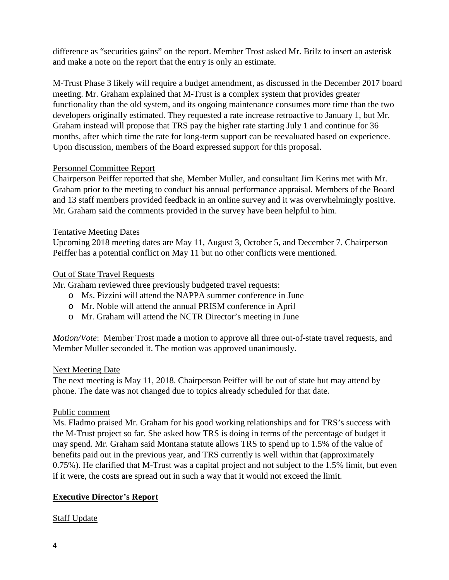difference as "securities gains" on the report. Member Trost asked Mr. Brilz to insert an asterisk and make a note on the report that the entry is only an estimate.

M-Trust Phase 3 likely will require a budget amendment, as discussed in the December 2017 board meeting. Mr. Graham explained that M-Trust is a complex system that provides greater functionality than the old system, and its ongoing maintenance consumes more time than the two developers originally estimated. They requested a rate increase retroactive to January 1, but Mr. Graham instead will propose that TRS pay the higher rate starting July 1 and continue for 36 months, after which time the rate for long-term support can be reevaluated based on experience. Upon discussion, members of the Board expressed support for this proposal.

# Personnel Committee Report

Chairperson Peiffer reported that she, Member Muller, and consultant Jim Kerins met with Mr. Graham prior to the meeting to conduct his annual performance appraisal. Members of the Board and 13 staff members provided feedback in an online survey and it was overwhelmingly positive. Mr. Graham said the comments provided in the survey have been helpful to him.

## Tentative Meeting Dates

Upcoming 2018 meeting dates are May 11, August 3, October 5, and December 7. Chairperson Peiffer has a potential conflict on May 11 but no other conflicts were mentioned.

# Out of State Travel Requests

Mr. Graham reviewed three previously budgeted travel requests:

- o Ms. Pizzini will attend the NAPPA summer conference in June
- o Mr. Noble will attend the annual PRISM conference in April
- o Mr. Graham will attend the NCTR Director's meeting in June

*Motion/Vote*: Member Trost made a motion to approve all three out-of-state travel requests, and Member Muller seconded it. The motion was approved unanimously.

## Next Meeting Date

The next meeting is May 11, 2018. Chairperson Peiffer will be out of state but may attend by phone. The date was not changed due to topics already scheduled for that date.

## Public comment

Ms. Fladmo praised Mr. Graham for his good working relationships and for TRS's success with the M-Trust project so far. She asked how TRS is doing in terms of the percentage of budget it may spend. Mr. Graham said Montana statute allows TRS to spend up to 1.5% of the value of benefits paid out in the previous year, and TRS currently is well within that (approximately 0.75%). He clarified that M-Trust was a capital project and not subject to the 1.5% limit, but even if it were, the costs are spread out in such a way that it would not exceed the limit.

# **Executive Director's Report**

## Staff Update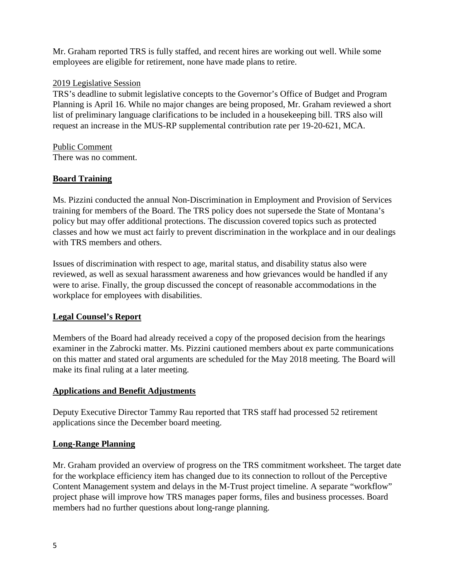Mr. Graham reported TRS is fully staffed, and recent hires are working out well. While some employees are eligible for retirement, none have made plans to retire.

## 2019 Legislative Session

TRS's deadline to submit legislative concepts to the Governor's Office of Budget and Program Planning is April 16. While no major changes are being proposed, Mr. Graham reviewed a short list of preliminary language clarifications to be included in a housekeeping bill. TRS also will request an increase in the MUS-RP supplemental contribution rate per 19-20-621, MCA.

Public Comment There was no comment.

# **Board Training**

Ms. Pizzini conducted the annual Non-Discrimination in Employment and Provision of Services training for members of the Board. The TRS policy does not supersede the State of Montana's policy but may offer additional protections. The discussion covered topics such as protected classes and how we must act fairly to prevent discrimination in the workplace and in our dealings with TRS members and others.

Issues of discrimination with respect to age, marital status, and disability status also were reviewed, as well as sexual harassment awareness and how grievances would be handled if any were to arise. Finally, the group discussed the concept of reasonable accommodations in the workplace for employees with disabilities.

## **Legal Counsel's Report**

Members of the Board had already received a copy of the proposed decision from the hearings examiner in the Zabrocki matter. Ms. Pizzini cautioned members about ex parte communications on this matter and stated oral arguments are scheduled for the May 2018 meeting. The Board will make its final ruling at a later meeting.

## **Applications and Benefit Adjustments**

Deputy Executive Director Tammy Rau reported that TRS staff had processed 52 retirement applications since the December board meeting.

## **Long-Range Planning**

Mr. Graham provided an overview of progress on the TRS commitment worksheet. The target date for the workplace efficiency item has changed due to its connection to rollout of the Perceptive Content Management system and delays in the M-Trust project timeline. A separate "workflow" project phase will improve how TRS manages paper forms, files and business processes. Board members had no further questions about long-range planning.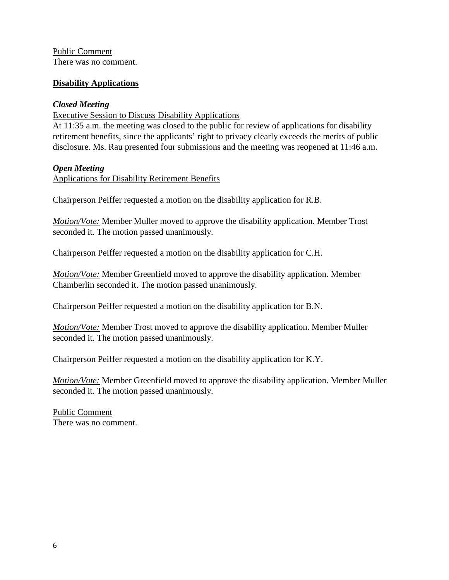Public Comment There was no comment.

### **Disability Applications**

### *Closed Meeting*

Executive Session to Discuss Disability Applications

At 11:35 a.m. the meeting was closed to the public for review of applications for disability retirement benefits, since the applicants' right to privacy clearly exceeds the merits of public disclosure. Ms. Rau presented four submissions and the meeting was reopened at 11:46 a.m.

#### *Open Meeting*

Applications for Disability Retirement Benefits

Chairperson Peiffer requested a motion on the disability application for R.B.

*Motion/Vote:* Member Muller moved to approve the disability application. Member Trost seconded it. The motion passed unanimously.

Chairperson Peiffer requested a motion on the disability application for C.H.

*Motion/Vote:* Member Greenfield moved to approve the disability application. Member Chamberlin seconded it. The motion passed unanimously.

Chairperson Peiffer requested a motion on the disability application for B.N.

*Motion/Vote:* Member Trost moved to approve the disability application. Member Muller seconded it. The motion passed unanimously.

Chairperson Peiffer requested a motion on the disability application for K.Y.

*Motion/Vote:* Member Greenfield moved to approve the disability application. Member Muller seconded it. The motion passed unanimously.

Public Comment There was no comment.